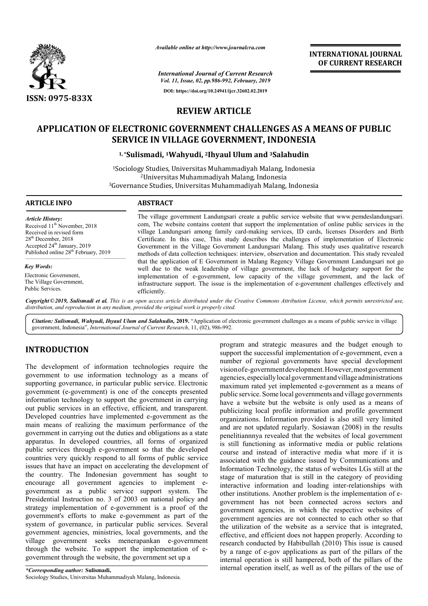

*Available online at http://www.journalcra.com*

*International Journal of Current Research Vol. 11, Issue, 02, pp.986-992, February, 2019* **DOI: https://doi.org/10.24941/ijcr.32602.02.2019**

# **REVIEW ARTICLE**

# **APPLICATION OF ELECTRONIC GOVERNMENT CHALLENGES AS A MEANS OF PUBLIC MEANS OF PUBLIC SERVICE IN VILLAGE GOVERNMENT, INDONESIA**

## **1, \*Sulismadi Sulismadi, 1Wahyudi, 2Ihyaul Ulum and 3Salahudin**

<sup>1</sup>Sociology Studies, Universitas Muhammadiyah Malang, Indonesia <sup>2</sup>Universitas Muhammadiyah Malang, Indonesia <sup>1</sup>Sociology Studies, Universitas Muhammadiyah Malang, Indonesia<br><sup>2</sup>Universitas Muhammadiyah Malang, Indonesia<br><sup>3</sup>Governance Studies, Universitas Muhammadiyah Malang, Indonesia

### **ARTICLE INFO ABSTRACT**

*Article History:* Received 11<sup>th</sup> November, 2018 Received in revised form 28<sup>th</sup> December, 2018 Accepted 24<sup>th</sup> January, 2019 Published online 28<sup>th</sup> February, 2019

*Key Words:*

Electronic Government, The Village Government, Public Services.

The village government Landungsari create a public service website that www.pemdeslandungsari. com, The website contains content that support the implementation of online public services in the village Landungsari among family card-making services, ID cards, licenses Disorders and Birth Certificate. In this case, This study describes the challenges of implementation of Electronic Government in the Village Government Landungsari Malang. This study uses qu methods of data collection techniques: interview, observation and documentation. This study revealed that the application of E Government in Malang Regency Village Government Landungsari not go well due to the weak leadership of village government, the lack of budgetary support for the implementation of e-government, low capacity of the village government, and the lack of infrastructure support. The issue is the implementation of e-government challenges effectively and efficiently. The village government Landungsari create a public service website that www.pemdeslandungsari.<br>com, The website contains content that support the implementation of online public services in the<br>village Landungsari among fa methods of data collection techniques: interview, observation and documentation. This study revealed<br>that the application of E Government in Malang Regency Village Government Landungsari not go<br>well due to the weak leaders

Copyright © 2019, Sulismadi et al. This is an open access article distributed under the Creative Commons Attribution License, which permits unrestricted use, *distribution, and reproduction in any medium, provided the original work is properly cited.*

Citation: Sulismadi, Wahyudi, Ihyaul Ulum and Salahudin, 2019. "Application of electronic government challenges as a means of public service in village government, Indonesia", *International Journal of Current Research* , 11, (02), 986-992.

# **INTRODUCTION**

The development of information technologies require the government to use information technology as a means of supporting governance, in particular public service. Electronic government (e-government) is one of the concepts presented information technology to support the government in carrying out public services in an effective, efficient, and transparent. Developed countries have implemented e-government as the Developed countries have implemented e-government as the main means of realizing the maximum performance of the government in carrying out the duties and obligations as a state apparatus. In developed countries, all forms of organized public services through e-government so that the developed countries very quickly respond to all forms of public service issues that have an impact on accelerating the development of the country. The Indonesian government has sought to encourage all government agencies to implement e government as a public service support system. The Presidential Instruction no. 3 of 2003 on national policy and strategy implementation of e-government is a proof of the government's efforts to make e-government as part of the system of governance, in particular public services. Several government agencies, ministries, local governments, and the government's efforts to make e-government as part of the system of governance, in particular public services. Several government agencies, ministries, local governments, and the village government seeks menerapankan e-gove through the website. To support the implementation of egovernment through the website, the government set up a government so that the developed<br>bond to all forms of public service<br>on accelerating the development of<br>sian government has sought to<br>ent agencies to implement eprogram and strategic measures and the budget enough to program and strategic measures and the budget enough to support the successful implementation of e-government, even a number of regional governments have special development visionofe-governmentdevelopment. development.However,mostgovernment agencies, especially local government and village administrations maximum rated yet implemented e-government as a means of public service. Some local governments and village governments have a website but the website is only used as a means of have a website but the website is only used as a means of publicizing local profile information and profile government organizations. Information provided is also still very limited and are not updated regularly. Sosiawan (2008) in the results penelitiannnya revealed that the websites of local government is still functioning as informative media or public relations course and instead of interactive media what more if it is associated with the guidance issued by Communications and Information Technology, the status of websites LGs still at the stage of maturation that is still in the category of providing interactive information and loading inter-relationships with other institutions. Another problem is the implementation of egovernment has not been connected across sectors and government agencies, in which the respective websites of government agencies are not connected to each other so that the utilization of the website as a service that is integrated, effective, and efficient does not happen properly. According to research conducted by Habibullah (2010) This issue is caused by a range of e-gov applications as part of the pillars of the internal operation is still hampered, both of the pillars of the internal operation itself, as well as of the pillars of the use of that the websites of local government<br>informative media or public relations<br>interactive media what more if it is with the guidance issued by Communications and<br>
1 Technology, the status of websites LGs still at the<br>
aturation that is still in the category of providing<br>
information and loading inter-relationships with **EXAMPLONATIONAL JOURNAL CONCREMENT RESEARCH**<br> **CFOREENT RESEARCH**<br> **CFOREMENT RESEARCH**<br> **PP**<br> **P**<br> **SNAIARD SOF PUBLIC**<br> **CFOREMENT RESEARCH**<br> **P**<br> **SNAIARD SOF PUBLIC**<br> **CFOREMENT RESEARCH**<br> **ONDESIA**<br> **CFOREMENT ADMPLO**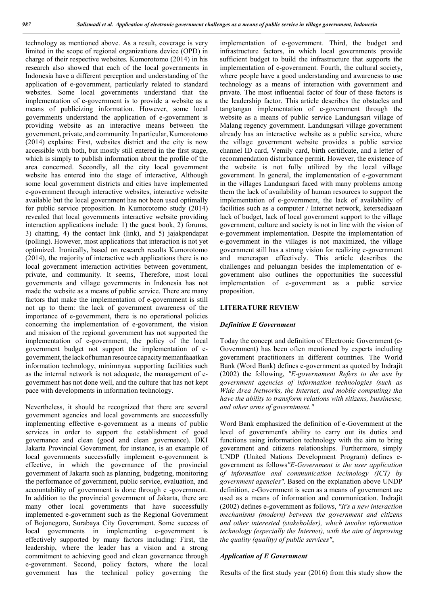technology as mentioned above. As a result, coverage is very limited in the scope of regional organizations device (OPD) in charge of their respective websites. Kumorotomo (2014) in his research also showed that each of the local governments in Indonesia have a different perception and understanding of the application of e-government, particularly related to standard websites. Some local governments understand that the implementation of e-government is to provide a website as a means of publicizing information. However, some local governments understand the application of e-government is providing website as an interactive means between the government, private, and community.In particular,Kumorotomo (2014) explains: First, websites district and the city is now accessible with both, but mostly still entered in the first stage, which is simply to publish information about the profile of the area concerned. Secondly, all the city local government website has entered into the stage of interactive, Although some local government districts and cities have implemented e-government through interactive websites, interactive website available but the local government has not been used optimally for public service proposition. In Kumorotomo study (2014) revealed that local governments interactive website providing interaction applications include: 1) the guest book, 2) forums, 3) chatting, 4) the contact link (link), and 5) jajakpendapat (polling). However, most applications that interaction is not yet optimized. Ironically, based on research results Kumorotomo (2014), the majority of interactive web applications there is no local government interaction activities between government, private, and community. It seems, Therefore, most local governments and village governments in Indonesia has not made the website as a means of public service. There are many factors that make the implementation of e-government is still not up to them: the lack of government awareness of the importance of e-government, there is no operational policies concerning the implementation of e-government, the vision and mission of the regional government has not supported the implementation of e-government, the policy of the local government budget not support the implementation of egovernment, the lack of human resource capacity memanfaaatkan information technology, minimnyaa supporting facilities such as the internal network is not adequate, the management of egovernment has not done well, and the culture that has not kept pace with developments in information technology.

Nevertheless, it should be recognized that there are several government agencies and local governments are successfully implementing effective e-government as a means of public services in order to support the establishment of good governance and clean (good and clean governance). DKI Jakarta Provincial Government, for instance, is an example of local governments successfully implement e-government is effective, in which the governance of the provincial government of Jakarta such as planning, budgeting, monitoring the performance of government, public service, evaluation, and accountability of government is done through e -government. In addition to the provincial government of Jakarta, there are many other local governments that have successfully implemented e-government such as the Regional Government of Bojonegoro, Surabaya City Government. Some success of local governments in implementing e-government is effectively supported by many factors including: First, the leadership, where the leader has a vision and a strong commitment to achieving good and clean governance through e-government. Second, policy factors, where the local government has the technical policy governing the implementation of e-government. Third, the budget and infrastructure factors, in which local governments provide sufficient budget to build the infrastructure that supports the implementation of e-government. Fourth, the cultural society, where people have a good understanding and awareness to use technology as a means of interaction with government and private. The most influential factor of four of these factors is the leadership factor. This article describes the obstacles and tangtangan implementation of e-government through the website as a means of public service Landungsari village of Malang regency government. Landungsari village government already has an interactive website as a public service, where the village government website provides a public service channel ID card, Vemily card, birth certificate, and a letter of recommendation disturbance permit. However, the existence of the website is not fully utilized by the local village government. In general, the implementation of e-government in the villages Landungsari faced with many problems among them the lack of availability of human resources to support the implementation of e-government, the lack of availability of facilities such as a computer / Internet network, ketersediaaan lack of budget, lack of local government support to the village government, culture and society is not in line with the vision of e-government implementation. Despite the implementation of e-government in the villages is not maximized, the village government still has a strong vision for realizing e-government and menerapan effectively. This article describes the challenges and peluangan besides the implementation of egovernment also outlines the opportunities the successful implementation of e-government as a public service proposition.

## **LITERATURE REVIEW**

#### *Definition E Government*

Today the concept and definition of Electronic Government (e-Government) has been often mentioned by experts including government practitioners in different countries. The World Bank (Word Bank) defines e-government as quoted by Indrajit (2002) the following, *"E-governament Refers to the usu by government agencies of information technologies (such as Wide Area Networks, the Internet, and mobile computing) tha have the ability to transform relations with sitizens, bussinesse, and other arms of governtment."*

Word Bank emphasized the definition of e-Government at the level of government's ability to carry out its duties and functions using information technology with the aim to bring government and citizens relationships. Furthermore, simply UNDP (United Nations Development Program) defines egovernment as follows*"E-Government is the user application of information and communication technology (ICT) by government agencies".* Based on the explanation above UNDP definition, e-Government is seen as a means of government are used as a means of information and communication. Indrajit (2002) defines e-government as follows, *"It's a new interaction mechanisms (modern) between the government and citizens and other interested (stakeholder), which involve information technology (especially the Internet), with the aim of improving the quality (quality) of public services"*,

## *Application of E Government*

Results of the first study year (2016) from this study show the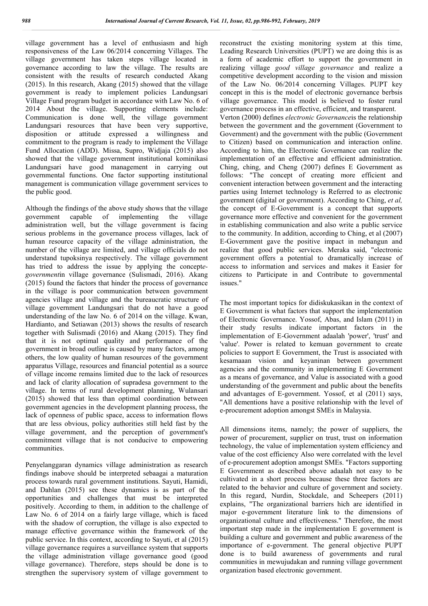village government has a level of enthusiasm and high responsiveness of the Law 06/2014 concerning Villages. The village government has taken steps village located in governance according to law the village. The results are consistent with the results of research conducted Akang (2015). In this research, Akang (2015) showed that the village government is ready to implement policies Landungsari Village Fund program budget in accordance with Law No. 6 of 2014 About the village. Supporting elements include: Communication is done well, the village government Landungsari resources that have been very supportive, disposition or attitude expressed a willingness and commitment to the program is ready to implement the Village Fund Allocation (ADD). Missa, Supro, Widjaja (2015) also showed that the village government institutional kominikasi Landungsari have good management in carrying out governmental functions. One factor supporting institutional management is communication village government services to the public good.

Although the findings of the above study shows that the village government capable of implementing the village administration well, but the village government is facing serious problems in the governance process villages, lack of human resource capacity of the village administration, the number of the village are limited, and village officials do not understand tupoksinya respectively. The village government has tried to address the issue by applying the concept*egovernment*in village governance (Sulismadi, 2016). Akang (2015) found the factors that hinder the process of governance in the village is poor communication between government agencies village and village and the bureaucratic structure of village government Landungsari that do not have a good understanding of the law No. 6 of 2014 on the village. Kwan, Hardianto, and Setiawan (2013) shows the results of research together with Sulismadi (2016) and Akang (2015). They find that it is not optimal quality and performance of the government in broad outline is caused by many factors, among others, the low quality of human resources of the government apparatus Village, resources and financial potential as a source of village income remains limited due to the lack of resources and lack of clarity allocation of supradesa government to the village. In terms of rural development planning, Wulansari (2015) showed that less than optimal coordination between government agencies in the development planning process, the lack of openness of public space, access to information flows that are less obvious, policy authorities still held fast by the village government, and the perception of government's commitment village that is not conducive to empowering communities.

Penyelanggaran dynamics village administration as research findings inabove should be interpreted sebaagai a maturation process towards rural government institutions. Sayuti, Hamidi, and Dahlan (2015) see these dynamics is as part of the opportunities and challenges that must be interpreted positively. According to them, in addition to the challenge of Law No. 6 of 2014 on a fairly large village, which is faced with the shadow of corruption, the village is also expected to manage effective governance within the framework of the public service. In this context, according to Sayuti, et al (2015) village governance requires a surveillance system that supports the village administration village governance good (good village governance). Therefore, steps should be done is to strengthen the supervisory system of village government to

reconstruct the existing monitoring system at this time, Leading Research Universities (PUPT) we are doing this is as a form of academic effort to support the government in realizing village *good village governance* and realize a competitive development according to the vision and mission of the Law No. 06/2014 concerning Villages. PUPT key concept in this is the model of electronic governance berbsis village governance. This model is believed to foster rural governance process in an effective, efficient, and transparent. Verton (2000) defines *electronic Governance*is the relationship between the government and the government (Government to Government) and the government with the public (Government to Citizen) based on communication and interaction online. According to him, the Electronic Governance can realize the implementation of an effective and efficient administration. Ching, ching, and Cheng (2007) defines E Government as follows: "The concept of creating more efficient and convenient interaction between government and the interacting parties using Internet technology is Referred to as electronic government (digital or government). According to Ching, *et al,* the concept of E-Government is a concept that supports governance more effective and convenient for the government in establishing communication and also write a public service to the community. In addition, according to Ching, et al (2007) E-Government gave the positive impact in mebangun and realize that good public services. Meraka said, "electronic government offers a potential to dramatically increase of access to information and services and makes it Easier for citizens to Participate in and Contribute to governmental issues."

The most important topics for didiskukasikan in the context of E Government is what factors that support the implementation of Electronic Governance. Yossof, Abas, and Islam (2011) in their study results indicate important factors in the implementation of E-Government adaalah 'power', 'trust' and 'value'. Power is related to kemuan government to create policies to support E Government, the Trust is associated with kesamaaan vision and keyaninan between government agencies and the community in implementing E Government as a means of governance, and Value is associated with a good understanding of the government and public about the benefits and advantages of E-government. Yossof, et al (2011) says, "All dementions have a positive relationship with the level of e-procurement adoption amongst SMEs in Malaysia.

All dimensions items, namely; the power of suppliers, the power of procurement, supplier on trust, trust on information technology, the value of implementation system efficiency and value of the cost efficiency Also were correlated with the level of e-procurement adoption amongst SMEs. "Factors supporting E Government as described above adaalah not easy to be cultivated in a short process because these three factors are related to the behavior and culture of government and society. In this regard, Nurdin, Stockdale, and Scheepers (2011) explains, "The organizational barriers hich are identified in major e-government literature link to the dimensions of organizational culture and effectiveness." Therefore, the most important step made in the implementation E government is building a culture and government and public awareness of the importance of e-government. The general objective PUPT done is to build awareness of governments and rural communities in mewujudakan and running village government organization based electronic government.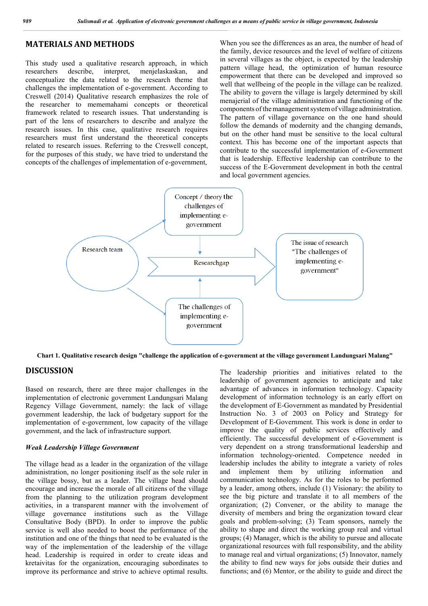## **MATERIALS AND METHODS**

This study used a qualitative research approach, in which researchers describe, interpret, menjelaskaskan, and conceptualize the data related to the research theme that challenges the implementation of e-government. According to Creswell (2014) Qualitative research emphasizes the role of the researcher to mememahami concepts or theoretical framework related to research issues. That understanding is part of the lens of researchers to describe and analyze the research issues. In this case, qualitative research requires researchers must first understand the theoretical concepts related to research issues. Referring to the Creswell concept, for the purposes of this study, we have tried to understand the concepts of the challenges of implementation of e-government,

When you see the differences as an area, the number of head of the family, device resources and the level of welfare of citizens in several villages as the object, is expected by the leadership pattern village head, the optimization of human resource empowerment that there can be developed and improved so well that wellbeing of the people in the village can be realized. The ability to govern the village is largely determined by skill menajerial of the village administration and functioning of the components ofthemanagementsystemof village administration. The pattern of village governance on the one hand should follow the demands of modernity and the changing demands, but on the other hand must be sensitive to the local cultural context. This has become one of the important aspects that contribute to the successful implementation of e-Government that is leadership. Effective leadership can contribute to the success of the E-Government development in both the central and local government agencies.



**Chart 1. Qualitative research design "challenge the application of e-government at the village government Landungsari Malang"**

## **DISCUSSION**

Based on research, there are three major challenges in the implementation of electronic government Landungsari Malang Regency Village Government, namely: the lack of village government leadership, the lack of budgetary support for the implementation of e-government, low capacity of the village government, and the lack of infrastructure support.

### *Weak Leadership Village Government*

The village head as a leader in the organization of the village administration, no longer positioning itself as the sole ruler in the village bossy, but as a leader. The village head should encourage and increase the morale of all citizens of the village from the planning to the utilization program development activities, in a transparent manner with the involvement of village governance institutions such as the Village Consultative Body (BPD). In order to improve the public service is well also needed to boost the performance of the institution and one of the things that need to be evaluated is the way of the implementation of the leadership of the village head. Leadership is required in order to create ideas and kretaivitas for the organization, encouraging subordinates to improve its performance and strive to achieve optimal results.

The leadership priorities and initiatives related to the leadership of government agencies to anticipate and take advantage of advances in information technology. Capacity development of information technology is an early effort on the development of E-Government as mandated by Presidential Instruction No. 3 of 2003 on Policy and Strategy for Development of E-Government. This work is done in order to improve the quality of public services effectively and efficiently. The successful development of e-Government is very dependent on a strong transformational leadership and information technology-oriented. Competence needed in leadership includes the ability to integrate a variety of roles and implement them by utilizing information and communication technology. As for the roles to be performed by a leader, among others, include (1) Visionary: the ability to see the big picture and translate it to all members of the organization; (2) Convener, or the ability to manage the diversity of members and bring the organization toward clear goals and problem-solving; (3) Team sponsors, namely the ability to shape and direct the working group real and virtual groups; (4) Manager, which is the ability to pursue and allocate organizational resources with full responsibility, and the ability to manage real and virtual organizations; (5) Innovator, namely the ability to find new ways for jobs outside their duties and functions; and (6) Mentor, or the ability to guide and direct the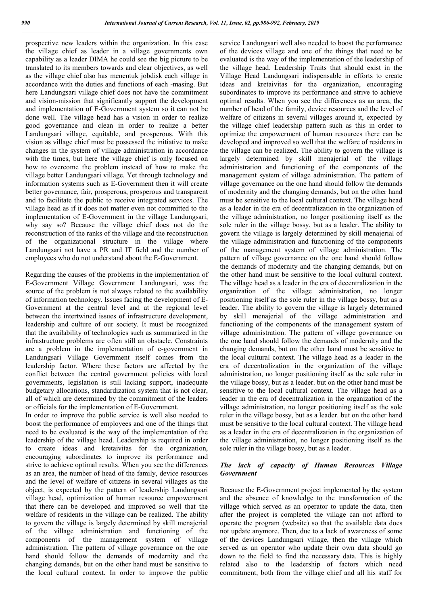prospective new leaders within the organization. In this case the village chief as leader in a village governments own capability as a leader DIMA he could see the big picture to be translated to its members towards and clear objectives, as well as the village chief also has menentuk jobdisk each village in accordance with the duties and functions of each -masing. But here Landungsari village chief does not have the commitment and vision-mission that significantly support the development and implementation of E-Government system so it can not be done well. The village head has a vision in order to realize good governance and clean in order to realize a better Landungsari village, equitable, and prosperous. With this vision as village chief must be possessed the initiative to make changes in the system of village administration in accordance with the times, but here the village chief is only focused on how to overcome the problem instead of how to make the village better Landungsari village. Yet through technology and information systems such as E-Government then it will create better governance, fair, prosperous, prosperous and transparent and to facilitate the public to receive integrated services. The village head as if it does not matter even not committed to the implementation of E-Government in the village Landungsari, why say so? Because the village chief does not do the reconstruction of the ranks of the village and the reconstruction of the organizational structure in the village where Landungsari not have a PR and IT field and the number of employees who do not understand about the E-Government.

Regarding the causes of the problems in the implementation of E-Government Village Government Landungsari, was the source of the problem is not always related to the availability of information technology. Issues facing the development of E-Government at the central level and at the regional level between the intertwined issues of infrastructure development, leadership and culture of our society. It must be recognized that the availability of technologies such as summarized in the infrastructure problems are often still an obstacle. Constraints are a problem in the implementation of e-government in Landungsari Village Government itself comes from the leadership factor. Where these factors are affected by the conflict between the central government policies with local governments, legislation is still lacking support, inadequate budgetary allocations, standardization system that is not clear, all of which are determined by the commitment of the leaders or officials for the implementation of E-Government.

In order to improve the public service is well also needed to boost the performance of employees and one of the things that need to be evaluated is the way of the implementation of the leadership of the village head. Leadership is required in order to create ideas and kretaivitas for the organization, encouraging subordinates to improve its performance and strive to achieve optimal results. When you see the differences as an area, the number of head of the family, device resources and the level of welfare of citizens in several villages as the object, is expected by the pattern of leadership Landungsari village head, optimization of human resource empowerment that there can be developed and improved so well that the welfare of residents in the village can be realized. The ability to govern the village is largely determined by skill menajerial of the village administration and functioning of the components of the management system of village administration. The pattern of village governance on the one hand should follow the demands of modernity and the changing demands, but on the other hand must be sensitive to the local cultural context. In order to improve the public

service Landungsari well also needed to boost the performance of the devices village and one of the things that need to be evaluated is the way of the implementation of the leadership of the village head. Leadership Traits that should exist in the Village Head Landungsari indispensable in efforts to create ideas and kretaivitas for the organization, encouraging subordinates to improve its performance and strive to achieve optimal results. When you see the differences as an area, the number of head of the family, device resources and the level of welfare of citizens in several villages around it, expected by the village chief leadership pattern such as this in order to optimize the empowerment of human resources there can be developed and improved so well that the welfare of residents in the village can be realized. The ability to govern the village is largely determined by skill menajerial of the village administration and functioning of the components of the management system of village administration. The pattern of village governance on the one hand should follow the demands of modernity and the changing demands, but on the other hand must be sensitive to the local cultural context. The village head as a leader in the era of decentralization in the organization of the village administration, no longer positioning itself as the sole ruler in the village bossy, but as a leader. The ability to govern the village is largely determined by skill menajerial of the village administration and functioning of the components of the management system of village administration. The pattern of village governance on the one hand should follow the demands of modernity and the changing demands, but on the other hand must be sensitive to the local cultural context. The village head as a leader in the era of decentralization in the organization of the village administration, no longer positioning itself as the sole ruler in the village bossy, but as a leader. The ability to govern the village is largely determined by skill menajerial of the village administration and functioning of the components of the management system of village administration. The pattern of village governance on the one hand should follow the demands of modernity and the changing demands, but on the other hand must be sensitive to the local cultural context. The village head as a leader in the era of decentralization in the organization of the village administration, no longer positioning itself as the sole ruler in the village bossy, but as a leader. but on the other hand must be sensitive to the local cultural context. The village head as a leader in the era of decentralization in the organization of the village administration, no longer positioning itself as the sole ruler in the village bossy, but as a leader. but on the other hand must be sensitive to the local cultural context. The village head as a leader in the era of decentralization in the organization of the village administration, no longer positioning itself as the sole ruler in the village bossy, but as a leader.

## *The lack of capacity of Human Resources Village Government*

Because the E-Government project implemented by the system and the absence of knowledge to the transformation of the village which served as an operator to update the data, then after the project is completed the village can not afford to operate the program (website) so that the available data does not update anymore. Then, due to a lack of awareness of some of the devices Landungsari village, then the village which served as an operator who update their own data should go down to the field to find the necessary data. This is highly related also to the leadership of factors which need commitment, both from the village chief and all his staff for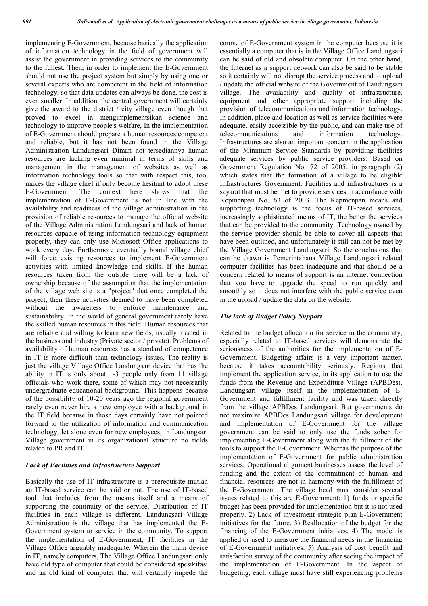implementing E-Government, because basically the application of information technology in the field of government will assist the government in providing services to the community to the fullest. Then, in order to implement the E-Government should not use the project system but simply by using one or several experts who are competent in the field of information technology, so that data updates can always be done, the cost is even smaller. In addition, the central government will certainly give the award to the district / city village even though that proved to excel in mengimplementsikan science and technology to improve people's welfare, In the implementation of E-Government should prepare a human resources competent and reliable, but it has not been found in the Village Administration Landungsari Diman not tersediannya human resources are lacking even minimal in terms of skills and management in the management of websites as well as information technology tools so that with respect this, too, makes the village chief if only become hesitant to adopt these E-Government. The context here shows that the implementation of E-Government is not in line with the availability and readiness of the village administration in the provision of reliable resources to manage the official website of the Village Administration Landungsari and lack of human resources capable of using information technology equipment properly, they can only use Microsoft Office applications to work every day. Furthermore eventually bound village chief will force existing resources to implement E-Government activities with limited knowledge and skills. If the human resources taken from the outside there will be a lack of ownership because of the assumption that the implementation of the village web site is a "project" that once completed the project, then these activities deemed to have been completed without the awareness to enforce maintenance and sustainability. In the world of general government rarely have the skilled human resources in this field. Human resources that are reliable and willing to learn new fields, usually located in the business and industry (Private sector / private). Problems of availability of human resources has a standard of competence in IT is more difficult than technology issues. The reality is just the village Village Office Landungsari device that has the ability in IT is only about 1-3 people only from 11 village officials who work there, some of which may not necessarily undergraduate educational background. This happens because of the possibility of 10-20 years ago the regional government rarely even never hire a new employee with a background in the IT field because in those days certainly have not pointed forward to the utilization of information and communication technology, let alone even for new employees, in Landungsari Village government in its organizational structure no fields related to PR and IT.

## *Lack of Facilities and Infrastructure Support*

Basically the use of IT infrastructure is a prerequisite mutlah an IT-based service can be said or not. The use of IT-based tool that includes from the means itself and a means of supporting the continuity of the service. Distribution of IT facilities in each village is different. Landungsari Village Administration is the village that has implemented the E-Government system to service in the community. To support the implementation of E-Government, IT facilities in the Village Office arguably inadequate. Wherein the main device in IT, namely computers, The Village Office Landungsari only have old type of computer that could be considered spesikifasi and an old kind of computer that will certainly impede the

course of E-Government system in the computer because it is essentially a computer that is in the Village Office Landungsari can be said of old and obsolete computer. On the other hand, the Internet as a support network can also be said to be stable so it certainly will not disrupt the service process and to upload / update the official website of the Government of Landungsari village. The availability and quality of infrastructure, equipment and other appropriate support including the provision of telecommunications and information technology. In addition, place and location as well as service facilities were adequate, easily accessible by the public, and can make use of telecommunications and information technology. Infrastructures are also an important concern in the application of the Minimum Service Standards by providing facilities adequate services by public service providers. Based on Government Regulation No. 72 of 2005, in paragraph (2) which states that the formation of a village to be eligible Infrastructures Government. Facilities and infrastructures is a sayarat that must be met to provide services in accordance with Kepmenpan No. 63 of 2003. The Kepmenpan means and supporting technology is the focus of IT-based services, increasingly sophisticated means of IT, the better the services that can be provided to the community. Technology owned by the service provider should be able to cover all aspects that have been outlined, and unfortunately it still can not be met by the Village Government Landungsari. So the conclusions that can be drawn is Pemerintahana Village Landungsari related computer facilities has been inadequate and that should be a concern related to means of support is an internet connection that you have to upgrade the speed to run quickly and smoothly so it does not interfere with the public service even in the upload / update the data on the website.

## *The lack of Budget Policy Support*

Related to the budget allocation for service in the community, especially related to IT-based services will demonstrate the seriousness of the authorities for the implementation of E-Government. Budgeting affairs is a very important matter, because it takes accountability seriously. Regions that implement the application service, in its application to use the funds from the Revenue and Expenditure Village (APBDes). Landungsari village itself in the implementation of E-Government and fulfillment facility and was taken directly from the village APBDes Landungsari. But governments do not maximize APBDes Landungsari village for development and implementation of E-Government for the village government can be said to only use the funds sober for implementing E-Government along with the fulfillment of the tools to support the E-Government. Whereas the purpose of the implementation of E-Government for public administration services. Operational alignment businesses assess the level of funding and the extent of the commitment of human and financial resources are not in harmony with the fulfillment of the E-Government. The village head must consider several issues related to this are E-Government; 1) funds or specific budget has been provided for implementation but it is not used properly. 2) Lack of investment strategic plan E-Government initiatives for the future. 3) Reallocation of the budget for the financing of the E-Government initiatives. 4) The model is applied or used to measure the financial needs in the financing of E-Government initiatives. 5) Analysis of cost benefit and satisfaction survey of the community after seeing the impact of the implementation of E-Government. In the aspect of budgeting, each village must have still experiencing problems